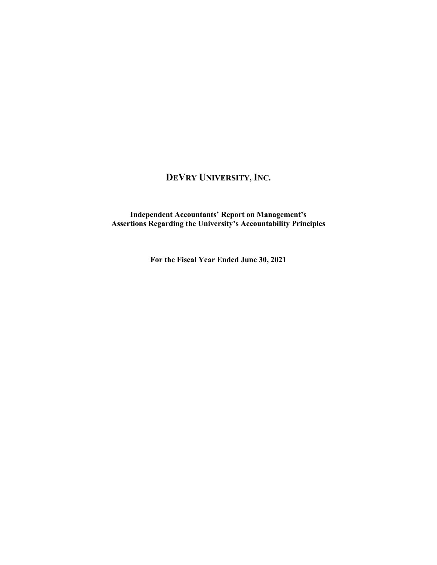## **DEVRY UNIVERSITY, INC.**

**Independent Accountants' Report on Management's Assertions Regarding the University's Accountability Principles**

**For the Fiscal Year Ended June 30, 2021**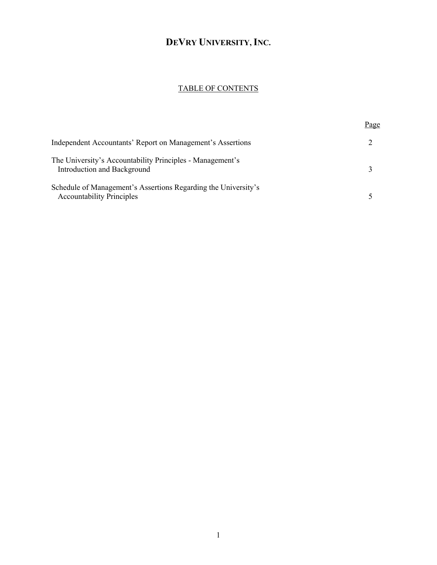# **DEVRY UNIVERSITY, INC.**

### TABLE OF CONTENTS

|                                                                                                    | <u>Page</u> |
|----------------------------------------------------------------------------------------------------|-------------|
| Independent Accountants' Report on Management's Assertions                                         |             |
| The University's Accountability Principles - Management's<br>Introduction and Background           |             |
| Schedule of Management's Assertions Regarding the University's<br><b>Accountability Principles</b> |             |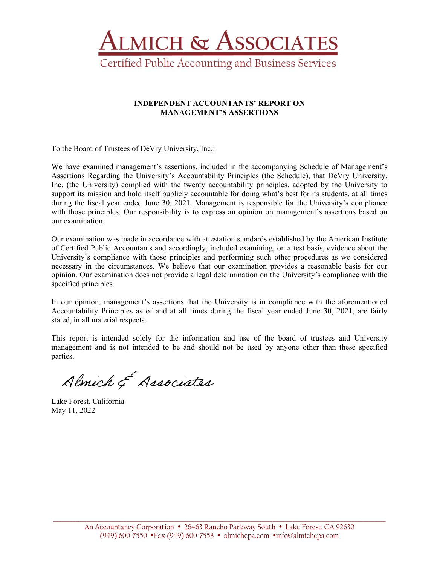

#### **INDEPENDENT ACCOUNTANTS' REPORT ON MANAGEMENT'S ASSERTIONS**

To the Board of Trustees of DeVry University, Inc.:

We have examined management's assertions, included in the accompanying Schedule of Management's Assertions Regarding the University's Accountability Principles (the Schedule), that DeVry University, Inc. (the University) complied with the twenty accountability principles, adopted by the University to support its mission and hold itself publicly accountable for doing what's best for its students, at all times during the fiscal year ended June 30, 2021. Management is responsible for the University's compliance with those principles. Our responsibility is to express an opinion on management's assertions based on our examination.

Our examination was made in accordance with attestation standards established by the American Institute of Certified Public Accountants and accordingly, included examining, on a test basis, evidence about the University's compliance with those principles and performing such other procedures as we considered necessary in the circumstances. We believe that our examination provides a reasonable basis for our opinion. Our examination does not provide a legal determination on the University's compliance with the specified principles.

In our opinion, management's assertions that the University is in compliance with the aforementioned Accountability Principles as of and at all times during the fiscal year ended June 30, 2021, are fairly stated, in all material respects.

This report is intended solely for the information and use of the board of trustees and University management and is not intended to be and should not be used by anyone other than these specified parties.

Almich & Associates

Lake Forest, California May 11, 2022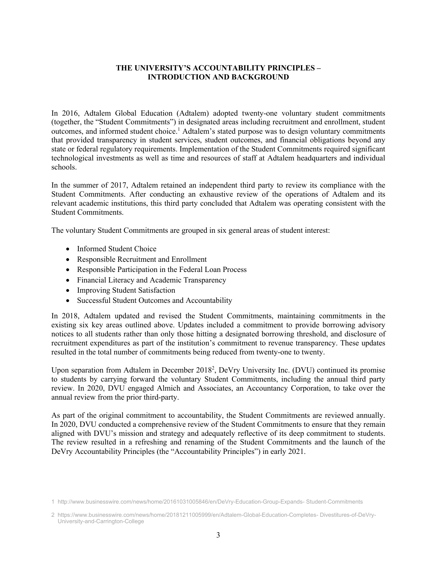#### **THE UNIVERSITY'S ACCOUNTABILITY PRINCIPLES – INTRODUCTION AND BACKGROUND**

In 2016, Adtalem Global Education (Adtalem) adopted twenty-one voluntary student commitments (together, the "Student Commitments") in designated areas including recruitment and enrollment, student outcomes, and informed student choice.<sup>1</sup> Adtalem's stated purpose was to design voluntary commitments that provided transparency in student services, student outcomes, and financial obligations beyond any state or federal regulatory requirements. Implementation of the Student Commitments required significant technological investments as well as time and resources of staff at Adtalem headquarters and individual schools.

In the summer of 2017, Adtalem retained an independent third party to review its compliance with the Student Commitments. After conducting an exhaustive review of the operations of Adtalem and its relevant academic institutions, this third party concluded that Adtalem was operating consistent with the Student Commitments.

The voluntary Student Commitments are grouped in six general areas of student interest:

- Informed Student Choice
- Responsible Recruitment and Enrollment
- Responsible Participation in the Federal Loan Process
- Financial Literacy and Academic Transparency
- Improving Student Satisfaction
- Successful Student Outcomes and Accountability

In 2018, Adtalem updated and revised the Student Commitments, maintaining commitments in the existing six key areas outlined above. Updates included a commitment to provide borrowing advisory notices to all students rather than only those hitting a designated borrowing threshold, and disclosure of recruitment expenditures as part of the institution's commitment to revenue transparency. These updates resulted in the total number of commitments being reduced from twenty-one to twenty.

Upon separation from Adtalem in December 2018<sup>2</sup>, DeVry University Inc. (DVU) continued its promise to students by carrying forward the voluntary Student Commitments, including the annual third party review. In 2020, DVU engaged Almich and Associates, an Accountancy Corporation, to take over the annual review from the prior third-party.

As part of the original commitment to accountability, the Student Commitments are reviewed annually. In 2020, DVU conducted a comprehensive review of the Student Commitments to ensure that they remain aligned with DVU's mission and strategy and adequately reflective of its deep commitment to students. The review resulted in a refreshing and renaming of the Student Commitments and the launch of the DeVry Accountability Principles (the "Accountability Principles") in early 2021.

<sup>1</sup> http://www.businesswire.com/news/home/20161031005846/en/DeVry-Education-Group-Expands- Student-Commitments

<sup>2</sup> https://www.businesswire.com/news/home/20181211005999/en/Adtalem-Global-Education-Completes- Divestitures-of-DeVry-University-and-Carrington-College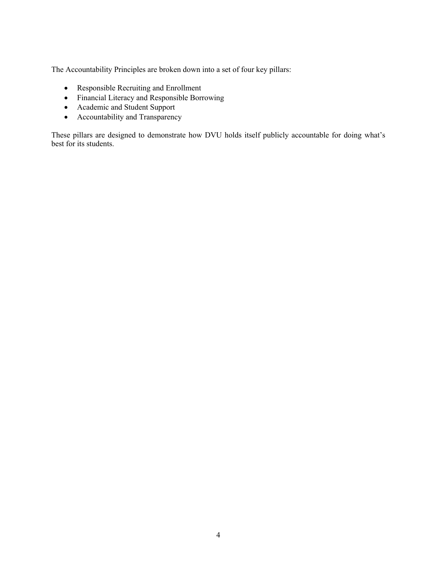The Accountability Principles are broken down into a set of four key pillars:

- Responsible Recruiting and Enrollment
- Financial Literacy and Responsible Borrowing
- Academic and Student Support
- Accountability and Transparency

These pillars are designed to demonstrate how DVU holds itself publicly accountable for doing what's best for its students.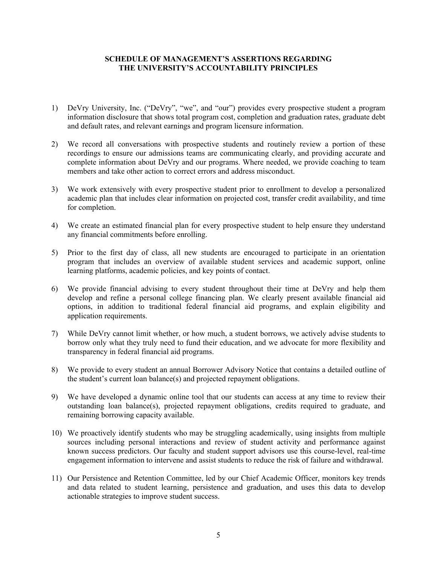#### **SCHEDULE OF MANAGEMENT'S ASSERTIONS REGARDING THE UNIVERSITY'S ACCOUNTABILITY PRINCIPLES**

- 1) DeVry University, Inc. ("DeVry", "we", and "our") provides every prospective student a program information disclosure that shows total program cost, completion and graduation rates, graduate debt and default rates, and relevant earnings and program licensure information.
- 2) We record all conversations with prospective students and routinely review a portion of these recordings to ensure our admissions teams are communicating clearly, and providing accurate and complete information about DeVry and our programs. Where needed, we provide coaching to team members and take other action to correct errors and address misconduct.
- 3) We work extensively with every prospective student prior to enrollment to develop a personalized academic plan that includes clear information on projected cost, transfer credit availability, and time for completion.
- 4) We create an estimated financial plan for every prospective student to help ensure they understand any financial commitments before enrolling.
- 5) Prior to the first day of class, all new students are encouraged to participate in an orientation program that includes an overview of available student services and academic support, online learning platforms, academic policies, and key points of contact.
- 6) We provide financial advising to every student throughout their time at DeVry and help them develop and refine a personal college financing plan. We clearly present available financial aid options, in addition to traditional federal financial aid programs, and explain eligibility and application requirements.
- 7) While DeVry cannot limit whether, or how much, a student borrows, we actively advise students to borrow only what they truly need to fund their education, and we advocate for more flexibility and transparency in federal financial aid programs.
- 8) We provide to every student an annual Borrower Advisory Notice that contains a detailed outline of the student's current loan balance(s) and projected repayment obligations.
- 9) We have developed a dynamic online tool that our students can access at any time to review their outstanding loan balance(s), projected repayment obligations, credits required to graduate, and remaining borrowing capacity available.
- 10) We proactively identify students who may be struggling academically, using insights from multiple sources including personal interactions and review of student activity and performance against known success predictors. Our faculty and student support advisors use this course-level, real-time engagement information to intervene and assist students to reduce the risk of failure and withdrawal.
- 11) Our Persistence and Retention Committee, led by our Chief Academic Officer, monitors key trends and data related to student learning, persistence and graduation, and uses this data to develop actionable strategies to improve student success.